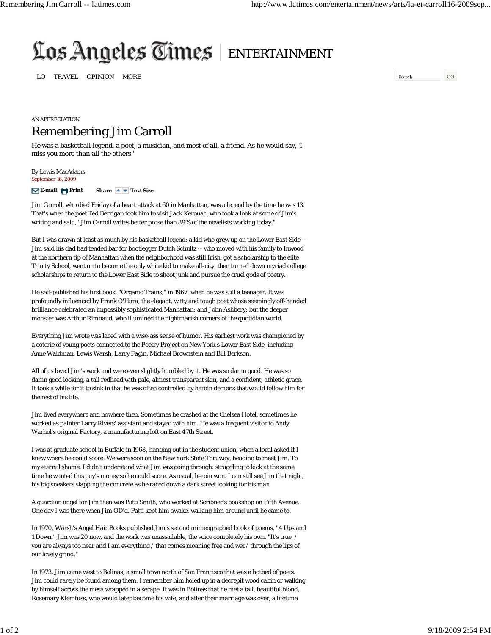## Los Angeles Times | ENTERTAINMENT

LO TRAVEL OPINION MORE

 ${\tt Search}$  $_{\rm GO}$ 

## AN APPRECIATION Remembering Jim Carroll

He was a basketball legend, a poet, a musician, and most of all, a friend. As he would say, 'I miss you more than all the others.'

By Lewis MacAdams *September 16, 2009*

**E-mail Print Share Text Size**

Jim Carroll, who died Friday of a heart attack at 60 in Manhattan, was a legend by the time he was 13. That's when the poet Ted Berrigan took him to visit Jack Kerouac, who took a look at some of Jim's writing and said, "Jim Carroll writes better prose than 89% of the novelists working today."

But I was drawn at least as much by his basketball legend: a kid who grew up on the Lower East Side -- Jim said his dad had tended bar for bootlegger Dutch Schultz -- who moved with his family to Inwood at the northern tip of Manhattan when the neighborhood was still Irish, got a scholarship to the elite Trinity School, went on to become the only white kid to make all-city, then turned down myriad college scholarships to return to the Lower East Side to shoot junk and pursue the cruel gods of poetry.

He self-published his first book, "Organic Trains," in 1967, when he was still a teenager. It was profoundly influenced by Frank O'Hara, the elegant, witty and tough poet whose seemingly off-handed brilliance celebrated an impossibly sophisticated Manhattan; and John Ashbery; but the deeper monster was Arthur Rimbaud, who illumined the nightmarish corners of the quotidian world.

Everything Jim wrote was laced with a wise-ass sense of humor. His earliest work was championed by a coterie of young poets connected to the Poetry Project on New York's Lower East Side, including Anne Waldman, Lewis Warsh, Larry Fagin, Michael Brownstein and Bill Berkson.

All of us loved Jim's work and were even slightly humbled by it. He was so damn good. He was so damn good looking, a tall redhead with pale, almost transparent skin, and a confident, athletic grace. It took a while for it to sink in that he was often controlled by heroin demons that would follow him for the rest of his life.

Jim lived everywhere and nowhere then. Sometimes he crashed at the Chelsea Hotel, sometimes he worked as painter Larry Rivers' assistant and stayed with him. He was a frequent visitor to Andy Warhol's original Factory, a manufacturing loft on East 47th Street.

I was at graduate school in Buffalo in 1968, hanging out in the student union, when a local asked if I knew where he could score. We were soon on the New York State Thruway, heading to meet Jim. To my eternal shame, I didn't understand what Jim was going through: struggling to kick at the same time he wanted this guy's money so he could score. As usual, heroin won. I can still see Jim that night, his big sneakers slapping the concrete as he raced down a dark street looking for his man.

A guardian angel for Jim then was Patti Smith, who worked at Scribner's bookshop on Fifth Avenue. One day I was there when Jim OD'd. Patti kept him awake, walking him around until he came to.

In 1970, Warsh's Angel Hair Books published Jim's second mimeographed book of poems, "4 Ups and 1 Down." Jim was 20 now, and the work was unassailable, the voice completely his own. "It's true, / you are always too near and I am everything / that comes moaning free and wet / through the lips of our lovely grind."

In 1973, Jim came west to Bolinas, a small town north of San Francisco that was a hotbed of poets. Jim could rarely be found among them. I remember him holed up in a decrepit wood cabin or walking by himself across the mesa wrapped in a serape. It was in Bolinas that he met a tall, beautiful blond, Rosemary Klemfuss, who would later become his wife, and after their marriage was over, a lifetime